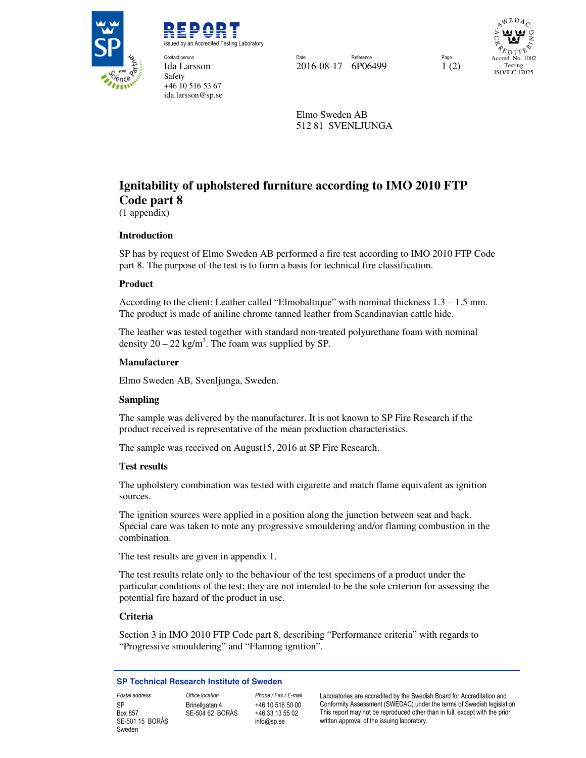

REPORT issued by an Accredited Testing Laboratory Contact person Date Reference Page

**Safety** 

+46 10 516 53 67 ida.larsson@sp.se

Ida Larsson 2016-08-17 6P06499 1 (2)

 $WEDA$ Accred. No. 1002 Testing ISO/IEC 17025

Elmo Sweden AB 512 81 SVENLJUNGA

# **Ignitability of upholstered furniture according to IMO 2010 FTP Code part 8**

(1 appendix)

# **Introduction**

SP has by request of Elmo Sweden AB performed a fire test according to IMO 2010 FTP Code part 8. The purpose of the test is to form a basis for technical fire classification.

## **Product**

According to the client: Leather called "Elmobaltique" with nominal thickness 1.3 – 1.5 mm. The product is made of aniline chrome tanned leather from Scandinavian cattle hide.

The leather was tested together with standard non-treated polyurethane foam with nominal density  $20 - 22$  kg/m<sup>3</sup>. The foam was supplied by SP.

#### **Manufacturer**

Elmo Sweden AB, Svenljunga, Sweden.

#### **Sampling**

The sample was delivered by the manufacturer. It is not known to SP Fire Research if the product received is representative of the mean production characteristics.

The sample was received on August15, 2016 at SP Fire Research.

#### **Test results**

The upholstery combination was tested with cigarette and match flame equivalent as ignition sources.

The ignition sources were applied in a position along the junction between seat and back. Special care was taken to note any progressive smouldering and/or flaming combustion in the combination.

The test results are given in appendix 1.

The test results relate only to the behaviour of the test specimens of a product under the particular conditions of the test; they are not intended to be the sole criterion for assessing the potential fire hazard of the product in use.

# **Criteria**

Section 3 in IMO 2010 FTP Code part 8, describing "Performance criteria" with regards to "Progressive smouldering" and "Flaming ignition".

#### **SP Technical Research Institute of Sweden**

SP Box 857 SE-501 15 BORÅS Sweden

Brinellgatan 4 SE-504 62 BORÅS

+46 10 516 50 00 +46 33 13 55 02 info@sp.se

Postal address **Office location** Phone / Fax / E-mail Laboratories are accredited by the Swedish Board for Accreditation and Conformity Assessment (SWEDAC) under the terms of Swedish legislation. This report may not be reproduced other than in full, except with the prior written approval of the issuing laboratory.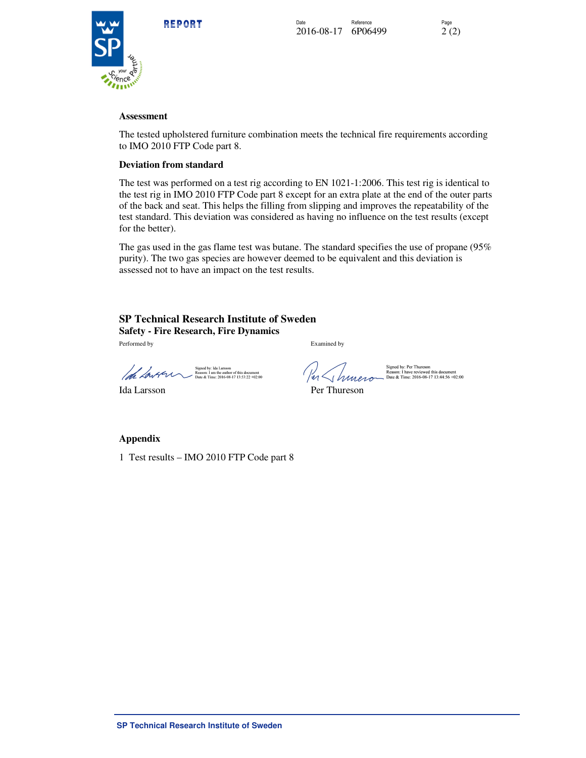



#### **Assessment**

The tested upholstered furniture combination meets the technical fire requirements according to IMO 2010 FTP Code part 8.

#### **Deviation from standard**

The test was performed on a test rig according to EN 1021-1:2006. This test rig is identical to the test rig in IMO 2010 FTP Code part 8 except for an extra plate at the end of the outer parts of the back and seat. This helps the filling from slipping and improves the repeatability of the test standard. This deviation was considered as having no influence on the test results (except for the better).

The gas used in the gas flame test was butane. The standard specifies the use of propane (95% purity). The two gas species are however deemed to be equivalent and this deviation is assessed not to have an impact on the test results.

# **SP Technical Research Institute of Sweden Safety - Fire Research, Fire Dynamics**

Performed by Examined by

igned by: Ida Larsson<br>teason: I am the author of this document<br>Date & Time: 2016-08-17 13:53:22 +02:00 loh Lavern  $\overline{1}$  ,  $\overline{1}$  and  $\overline{2}$  and  $\overline{2}$  and  $\overline{2}$  and  $\overline{2}$  and  $\overline{2}$  and  $\overline{2}$  and  $\overline{2}$  and  $\overline{2}$  and  $\overline{2}$  and  $\overline{2}$  and  $\overline{2}$  and  $\overline{2}$  and  $\overline{2}$  and  $\overline{2}$  and  $\overline{2}$  and  $\$ 

Innera

Signed by: Per Thureson<br>Reason: I have reviewed this document<br>Date & Time: 2016-08-17 13:44:56 +02:00

Ida Larsson Per Thureson

**Appendix** 

1 Test results – IMO 2010 FTP Code part 8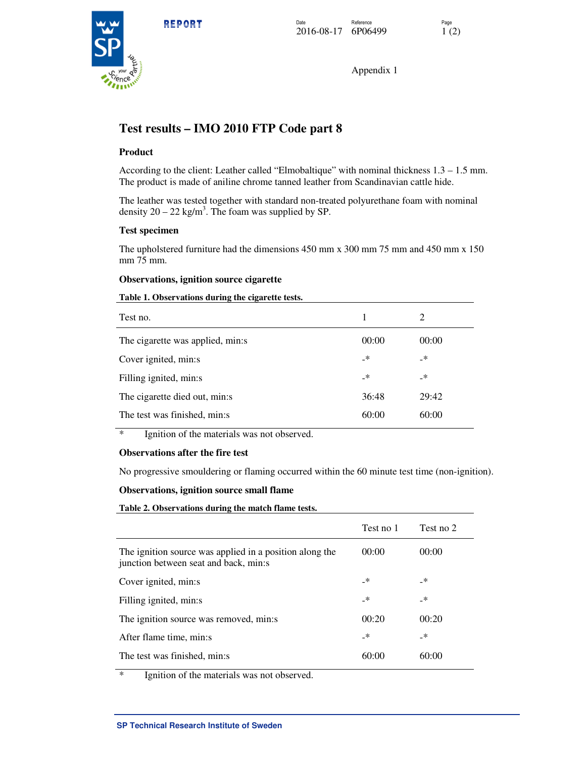

Appendix 1

# **Test results – IMO 2010 FTP Code part 8**

## **Product**

According to the client: Leather called "Elmobaltique" with nominal thickness 1.3 – 1.5 mm. The product is made of aniline chrome tanned leather from Scandinavian cattle hide.

The leather was tested together with standard non-treated polyurethane foam with nominal density  $20 - 22$  kg/m<sup>3</sup>. The foam was supplied by SP.

#### **Test specimen**

The upholstered furniture had the dimensions 450 mm x 300 mm 75 mm and 450 mm x 150 mm 75 mm.

#### **Observations, ignition source cigarette**

### **Table 1. Observations during the cigarette tests.**

| Test no.                         | 1     | 2     |
|----------------------------------|-------|-------|
| The cigarette was applied, min:s | 00:00 | 00:00 |
| Cover ignited, min:s             | _*    | _*    |
| Filling ignited, min:s           | _*    | _*    |
| The cigarette died out, min:s    | 36:48 | 29:42 |
| The test was finished, min:s     | 60:00 | 60:00 |

\* Ignition of the materials was not observed.

#### **Observations after the fire test**

No progressive smouldering or flaming occurred within the 60 minute test time (non-ignition).

#### **Observations, ignition source small flame**

**Table 2. Observations during the match flame tests.**

|                                                                                                  | Test no 1 | Test no 2     |
|--------------------------------------------------------------------------------------------------|-----------|---------------|
| The ignition source was applied in a position along the<br>junction between seat and back, min:s | 00:00     | 00:00         |
| Cover ignited, min:s                                                                             | _*        | _*            |
| Filling ignited, min:s                                                                           | _*        | _*            |
| The ignition source was removed, min:s                                                           | 00:20     | 00:20         |
| After flame time, min:s                                                                          | _*        | $\rightarrow$ |
| The test was finished, min:s                                                                     | 60:00     | 60:00         |

\* Ignition of the materials was not observed.